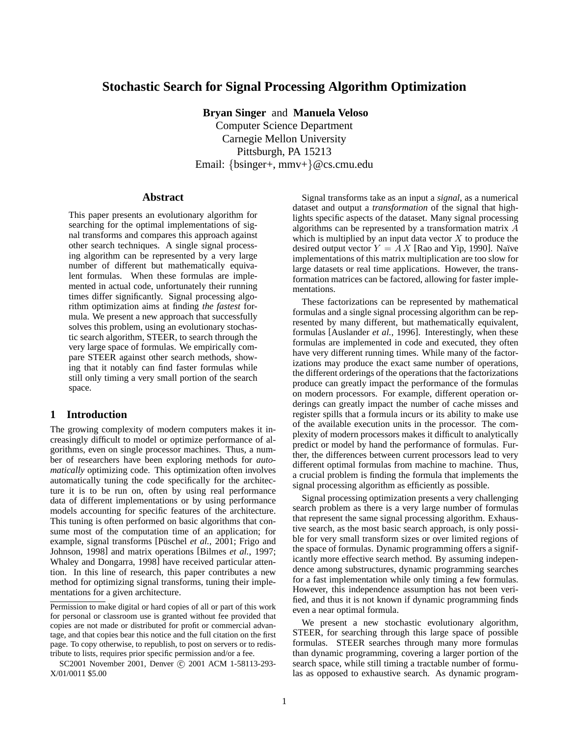# **Stochastic Search for Signal Processing Algorithm Optimization**

**Bryan Singer** and **Manuela Veloso**

Computer Science Department Carnegie Mellon University Pittsburgh, PA 15213 Email: {bsinger+, mmv+}@cs.cmu.edu

#### **Abstract**

This paper presents an evolutionary algorithm for searching for the optimal implementations of signal transforms and compares this approach against other search techniques. A single signal processing algorithm can be represented by a very large number of different but mathematically equivalent formulas. When these formulas are implemented in actual code, unfortunately their running times differ significantly. Signal processing algorithm optimization aims at finding *the fastest* formula. We present a new approach that successfully solves this problem, using an evolutionary stochastic search algorithm, STEER, to search through the very large space of formulas. We empirically compare STEER against other search methods, showing that it notably can find faster formulas while still only timing a very small portion of the search space.

#### **1 Introduction**

The growing complexity of modern computers makes it increasingly difficult to model or optimize performance of algorithms, even on single processor machines. Thus, a number of researchers have been exploring methods for *automatically* optimizing code. This optimization often involves automatically tuning the code specifically for the architecture it is to be run on, often by using real performance data of different implementations or by using performance models accounting for specific features of the architecture. This tuning is often performed on basic algorithms that consume most of the computation time of an application; for example, signal transforms [Püschel *et al.*, 2001; Frigo and Johnson, 1998] and matrix operations [Bilmes *et al.*, 1997; Whaley and Dongarra, 1998] have received particular attention. In this line of research, this paper contributes a new method for optimizing signal transforms, tuning their implementations for a given architecture.

Signal transforms take as an input a *signal*, as a numerical dataset and output a *transformation* of the signal that highlights specific aspects of the dataset. Many signal processing algorithms can be represented by a transformation matrix A which is multiplied by an input data vector  $X$  to produce the desired output vector  $Y = AX$  [Rao and Yip, 1990]. Naïve implementations of this matrix multiplication are too slow for large datasets or real time applications. However, the transformation matrices can be factored, allowing for faster implementations.

These factorizations can be represented by mathematical formulas and a single signal processing algorithm can be represented by many different, but mathematically equivalent, formulas [Auslander *et al.*, 1996]. Interestingly, when these formulas are implemented in code and executed, they often have very different running times. While many of the factorizations may produce the exact same number of operations, the different orderings of the operations that the factorizations produce can greatly impact the performance of the formulas on modern processors. For example, different operation orderings can greatly impact the number of cache misses and register spills that a formula incurs or its ability to make use of the available execution units in the processor. The complexity of modern processors makes it difficult to analytically predict or model by hand the performance of formulas. Further, the differences between current processors lead to very different optimal formulas from machine to machine. Thus, a crucial problem is finding the formula that implements the signal processing algorithm as efficiently as possible.

Signal processing optimization presents a very challenging search problem as there is a very large number of formulas that represent the same signal processing algorithm. Exhaustive search, as the most basic search approach, is only possible for very small transform sizes or over limited regions of the space of formulas. Dynamic programming offers a significantly more effective search method. By assuming independence among substructures, dynamic programming searches for a fast implementation while only timing a few formulas. However, this independence assumption has not been verified, and thus it is not known if dynamic programming finds even a near optimal formula.

We present a new stochastic evolutionary algorithm, STEER, for searching through this large space of possible formulas. STEER searches through many more formulas than dynamic programming, covering a larger portion of the search space, while still timing a tractable number of formulas as opposed to exhaustive search. As dynamic program-

Permission to make digital or hard copies of all or part of this work for personal or classroom use is granted without fee provided that copies are not made or distributed for profit or commercial advantage, and that copies bear this notice and the full citation on the first page. To copy otherwise, to republish, to post on servers or to redistribute to lists, requires prior specific permission and/or a fee.

SC2001 November 2001, Denver © 2001 ACM 1-58113-293-X/01/0011 \$5.00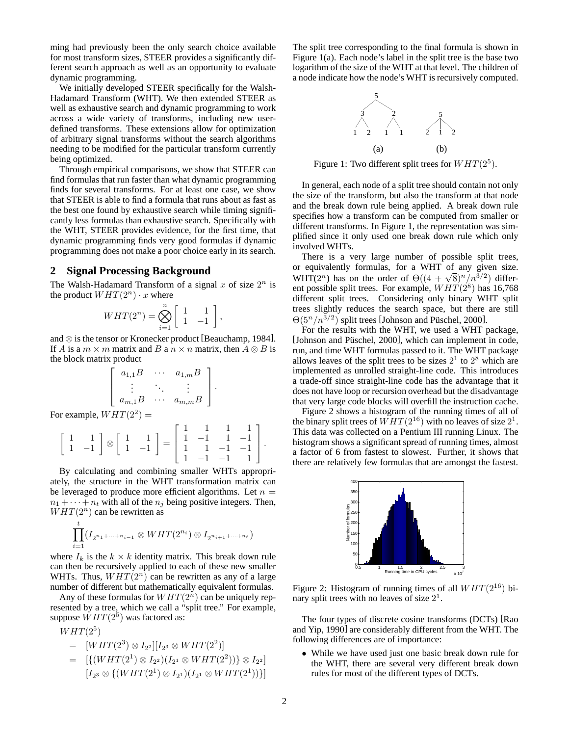ming had previously been the only search choice available for most transform sizes, STEER provides a significantly different search approach as well as an opportunity to evaluate dynamic programming.

We initially developed STEER specifically for the Walsh-Hadamard Transform (WHT). We then extended STEER as well as exhaustive search and dynamic programming to work across a wide variety of transforms, including new userdefined transforms. These extensions allow for optimization of arbitrary signal transforms without the search algorithms needing to be modified for the particular transform currently being optimized.

Through empirical comparisons, we show that STEER can find formulas that run faster than what dynamic programming finds for several transforms. For at least one case, we show that STEER is able to find a formula that runs about as fast as the best one found by exhaustive search while timing significantly less formulas than exhaustive search. Specifically with the WHT, STEER provides evidence, for the first time, that dynamic programming finds very good formulas if dynamic programming does not make a poor choice early in its search.

#### **2 Signal Processing Background**

The Walsh-Hadamard Transform of a signal  $x$  of size  $2^n$  is the product  $WHT(2^n) \cdot x$  where

$$
WHT(2^n) = \bigotimes_{i=1}^n \left[ \begin{array}{cc} 1 & 1 \\ 1 & -1 \end{array} \right],
$$

and ⊗ is the tensor or Kronecker product [Beauchamp, 1984]. If A is a  $m \times m$  matrix and B a  $n \times n$  matrix, then  $A \otimes B$  is the block matrix product

$$
\left[\begin{array}{ccc} a_{1,1}B & \cdots & a_{1,m}B \\ \vdots & \ddots & \vdots \\ a_{m,1}B & \cdots & a_{m,m}B \end{array}\right].
$$

For example,  $WHT(2^2) =$ 

$$
\left[\begin{array}{rrr} 1 & 1 \\ 1 & -1 \end{array}\right] \otimes \left[\begin{array}{rrr} 1 & 1 \\ 1 & -1 \end{array}\right] = \left[\begin{array}{rrr} 1 & 1 & 1 & 1 \\ 1 & -1 & 1 & -1 \\ 1 & 1 & -1 & -1 \\ 1 & -1 & -1 & 1 \end{array}\right].
$$

By calculating and combining smaller WHTs appropriately, the structure in the WHT transformation matrix can be leveraged to produce more efficient algorithms. Let  $n =$  $n_1 + \cdots + n_t$  with all of the  $n_i$  being positive integers. Then,  $WHT(2<sup>n</sup>)$  can be rewritten as

$$
\prod_{i=1}^t(I_{2^{n_1+\cdots+n_{i-1}}}\otimes WHT(2^{n_i})\otimes I_{2^{n_{i+1}+\cdots+n_t}})
$$

where  $I_k$  is the  $k \times k$  identity matrix. This break down rule can then be recursively applied to each of these new smaller WHTs. Thus,  $WHT(2^n)$  can be rewritten as any of a large number of different but mathematically equivalent formulas.

Any of these formulas for  $WHT(2<sup>n</sup>)$  can be uniquely represented by a tree, which we call a "split tree." For example, suppose  $\dot{W}HT(2^5)$  was factored as:

$$
WHT(2^5)
$$
  
=  $[WHT(2^3) \otimes I_{2^2}][I_{2^3} \otimes WHT(2^2)]$   
=  $[{(WHT(2^1) \otimes I_{2^2})(I_{2^1} \otimes WHT(2^2))} \otimes I_{2^2}]$   
 $[I_{2^3} \otimes \{(WHT(2^1) \otimes I_{2^1})(I_{2^1} \otimes WHT(2^1))\}]$ 

The split tree corresponding to the final formula is shown in Figure 1(a). Each node's label in the split tree is the base two logarithm of the size of the WHT at that level. The children of a node indicate how the node's WHT is recursively computed.



Figure 1: Two different split trees for  $WHT(2^5)$ .

In general, each node of a split tree should contain not only the size of the transform, but also the transform at that node and the break down rule being applied. A break down rule specifies how a transform can be computed from smaller or different transforms. In Figure 1, the representation was simplified since it only used one break down rule which only involved WHTs.

There is a very large number of possible split trees, or equivalently formulas, for a WHT of any given size. or equivalently formulas, for a WHT of any given size.<br>WHT(2<sup>n</sup>) has on the order of  $\Theta((4 + \sqrt{8})^n/n^{3/2})$  different possible split trees. For example,  $WHT(2^8)$  has 16,768 different split trees. Considering only binary WHT split trees slightly reduces the search space, but there are still  $\Theta(5^n/n^{3/2})$  split trees [Johnson and Püschel, 2000].

For the results with the WHT, we used a WHT package, [Johnson and Püschel, 2000], which can implement in code, run, and time WHT formulas passed to it. The WHT package allows leaves of the split trees to be sizes  $2<sup>1</sup>$  to  $2<sup>8</sup>$  which are implemented as unrolled straight-line code. This introduces a trade-off since straight-line code has the advantage that it does not have loop or recursion overhead but the disadvantage that very large code blocks will overfill the instruction cache.

Figure 2 shows a histogram of the running times of all of the binary split trees of  $WHT(2^{16})$  with no leaves of size  $2^1$ . This data was collected on a Pentium III running Linux. The histogram shows a significant spread of running times, almost a factor of 6 from fastest to slowest. Further, it shows that there are relatively few formulas that are amongst the fastest.



Figure 2: Histogram of running times of all  $WHT(2^{16})$  binary split trees with no leaves of size  $2<sup>1</sup>$ .

The four types of discrete cosine transforms (DCTs) [Rao and Yip, 1990] are considerably different from the WHT. The following differences are of importance:

• While we have used just one basic break down rule for the WHT, there are several very different break down rules for most of the different types of DCTs.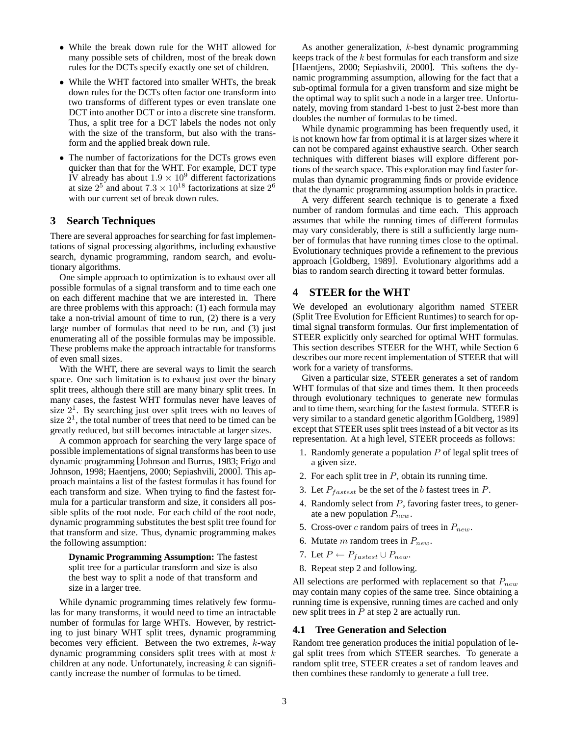- While the break down rule for the WHT allowed for many possible sets of children, most of the break down rules for the DCTs specify exactly one set of children.
- While the WHT factored into smaller WHTs, the break down rules for the DCTs often factor one transform into two transforms of different types or even translate one DCT into another DCT or into a discrete sine transform. Thus, a split tree for a DCT labels the nodes not only with the size of the transform, but also with the transform and the applied break down rule.
- The number of factorizations for the DCTs grows even quicker than that for the WHT. For example, DCT type IV already has about  $1.9 \times 10^9$  different factorizations at size  $2^5$  and about  $7.3 \times 10^{18}$  factorizations at size  $2^6$ with our current set of break down rules.

## **3 Search Techniques**

There are several approaches for searching for fast implementations of signal processing algorithms, including exhaustive search, dynamic programming, random search, and evolutionary algorithms.

One simple approach to optimization is to exhaust over all possible formulas of a signal transform and to time each one on each different machine that we are interested in. There are three problems with this approach: (1) each formula may take a non-trivial amount of time to run, (2) there is a very large number of formulas that need to be run, and (3) just enumerating all of the possible formulas may be impossible. These problems make the approach intractable for transforms of even small sizes.

With the WHT, there are several ways to limit the search space. One such limitation is to exhaust just over the binary split trees, although there still are many binary split trees. In many cases, the fastest WHT formulas never have leaves of size  $2<sup>1</sup>$ . By searching just over split trees with no leaves of size  $2<sup>1</sup>$ , the total number of trees that need to be timed can be greatly reduced, but still becomes intractable at larger sizes.

A common approach for searching the very large space of possible implementations of signal transforms has been to use dynamic programming [Johnson and Burrus, 1983; Frigo and Johnson, 1998; Haentjens, 2000; Sepiashvili, 2000]. This approach maintains a list of the fastest formulas it has found for each transform and size. When trying to find the fastest formula for a particular transform and size, it considers all possible splits of the root node. For each child of the root node, dynamic programming substitutes the best split tree found for that transform and size. Thus, dynamic programming makes the following assumption:

**Dynamic Programming Assumption:** The fastest split tree for a particular transform and size is also the best way to split a node of that transform and size in a larger tree.

While dynamic programming times relatively few formulas for many transforms, it would need to time an intractable number of formulas for large WHTs. However, by restricting to just binary WHT split trees, dynamic programming becomes very efficient. Between the two extremes, k-way dynamic programming considers split trees with at most  $k$ children at any node. Unfortunately, increasing  $k$  can significantly increase the number of formulas to be timed.

As another generalization, *k*-best dynamic programming keeps track of the  $k$  best formulas for each transform and size [Haentjens, 2000; Sepiashvili, 2000]. This softens the dynamic programming assumption, allowing for the fact that a sub-optimal formula for a given transform and size might be the optimal way to split such a node in a larger tree. Unfortunately, moving from standard 1-best to just 2-best more than doubles the number of formulas to be timed.

While dynamic programming has been frequently used, it is not known how far from optimal it is at larger sizes where it can not be compared against exhaustive search. Other search techniques with different biases will explore different portions of the search space. This exploration may find faster formulas than dynamic programming finds or provide evidence that the dynamic programming assumption holds in practice.

A very different search technique is to generate a fixed number of random formulas and time each. This approach assumes that while the running times of different formulas may vary considerably, there is still a sufficiently large number of formulas that have running times close to the optimal. Evolutionary techniques provide a refinement to the previous approach [Goldberg, 1989]. Evolutionary algorithms add a bias to random search directing it toward better formulas.

## **4 STEER for the WHT**

We developed an evolutionary algorithm named STEER (Split Tree Evolution for Efficient Runtimes) to search for optimal signal transform formulas. Our first implementation of STEER explicitly only searched for optimal WHT formulas. This section describes STEER for the WHT, while Section 6 describes our more recent implementation of STEER that will work for a variety of transforms.

Given a particular size, STEER generates a set of random WHT formulas of that size and times them. It then proceeds through evolutionary techniques to generate new formulas and to time them, searching for the fastest formula. STEER is very similar to a standard genetic algorithm [Goldberg, 1989] except that STEER uses split trees instead of a bit vector as its representation. At a high level, STEER proceeds as follows:

- 1. Randomly generate a population  $P$  of legal split trees of a given size.
- 2. For each split tree in  $P$ , obtain its running time.
- 3. Let  $P_{fastest}$  be the set of the b fastest trees in P.
- 4. Randomly select from  $P$ , favoring faster trees, to generate a new population  $P_{new}$ .
- 5. Cross-over c random pairs of trees in  $P_{new}$ .
- 6. Mutate m random trees in  $P_{new}$ .
- 7. Let  $P \leftarrow P_{fastest} \cup P_{new}$ .
- 8. Repeat step 2 and following.

All selections are performed with replacement so that  $P_{new}$ may contain many copies of the same tree. Since obtaining a running time is expensive, running times are cached and only new split trees in  $P$  at step 2 are actually run.

#### **4.1 Tree Generation and Selection**

Random tree generation produces the initial population of legal split trees from which STEER searches. To generate a random split tree, STEER creates a set of random leaves and then combines these randomly to generate a full tree.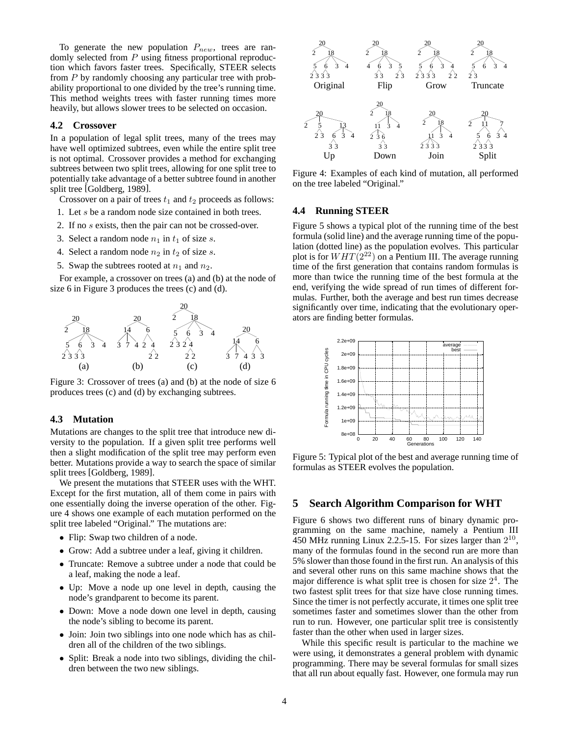To generate the new population  $P_{new}$ , trees are randomly selected from P using fitness proportional reproduction which favors faster trees. Specifically, STEER selects from P by randomly choosing any particular tree with probability proportional to one divided by the tree's running time. This method weights trees with faster running times more heavily, but allows slower trees to be selected on occasion.

#### **4.2 Crossover**

In a population of legal split trees, many of the trees may have well optimized subtrees, even while the entire split tree is not optimal. Crossover provides a method for exchanging subtrees between two split trees, allowing for one split tree to potentially take advantage of a better subtree found in another split tree [Goldberg, 1989].

Crossover on a pair of trees  $t_1$  and  $t_2$  proceeds as follows:

- 1. Let s be a random node size contained in both trees.
- 2. If no s exists, then the pair can not be crossed-over.
- 3. Select a random node  $n_1$  in  $t_1$  of size s.
- 4. Select a random node  $n_2$  in  $t_2$  of size s.
- 5. Swap the subtrees rooted at  $n_1$  and  $n_2$ .

For example, a crossover on trees (a) and (b) at the node of size 6 in Figure 3 produces the trees (c) and (d).



Figure 3: Crossover of trees (a) and (b) at the node of size 6 produces trees (c) and (d) by exchanging subtrees.

### **4.3 Mutation**

Mutations are changes to the split tree that introduce new diversity to the population. If a given split tree performs well then a slight modification of the split tree may perform even better. Mutations provide a way to search the space of similar split trees [Goldberg, 1989].

We present the mutations that STEER uses with the WHT. Except for the first mutation, all of them come in pairs with one essentially doing the inverse operation of the other. Figure 4 shows one example of each mutation performed on the split tree labeled "Original." The mutations are:

- Flip: Swap two children of a node.
- Grow: Add a subtree under a leaf, giving it children.
- Truncate: Remove a subtree under a node that could be a leaf, making the node a leaf.
- Up: Move a node up one level in depth, causing the node's grandparent to become its parent.
- Down: Move a node down one level in depth, causing the node's sibling to become its parent.
- Join: Join two siblings into one node which has as children all of the children of the two siblings.
- Split: Break a node into two siblings, dividing the children between the two new siblings.



Figure 4: Examples of each kind of mutation, all performed on the tree labeled "Original."

#### **4.4 Running STEER**

Figure 5 shows a typical plot of the running time of the best formula (solid line) and the average running time of the population (dotted line) as the population evolves. This particular plot is for  $WHT(2^{22})$  on a Pentium III. The average running time of the first generation that contains random formulas is more than twice the running time of the best formula at the end, verifying the wide spread of run times of different formulas. Further, both the average and best run times decrease significantly over time, indicating that the evolutionary operators are finding better formulas.



Figure 5: Typical plot of the best and average running time of formulas as STEER evolves the population.

#### **5 Search Algorithm Comparison for WHT**

Figure 6 shows two different runs of binary dynamic programming on the same machine, namely a Pentium III 450 MHz running Linux 2.2.5-15. For sizes larger than  $2^{10}$ , many of the formulas found in the second run are more than 5% slower than those found in the first run. An analysis of this and several other runs on this same machine shows that the major difference is what split tree is chosen for size  $2<sup>4</sup>$ . The two fastest split trees for that size have close running times. Since the timer is not perfectly accurate, it times one split tree sometimes faster and sometimes slower than the other from run to run. However, one particular split tree is consistently faster than the other when used in larger sizes.

While this specific result is particular to the machine we were using, it demonstrates a general problem with dynamic programming. There may be several formulas for small sizes that all run about equally fast. However, one formula may run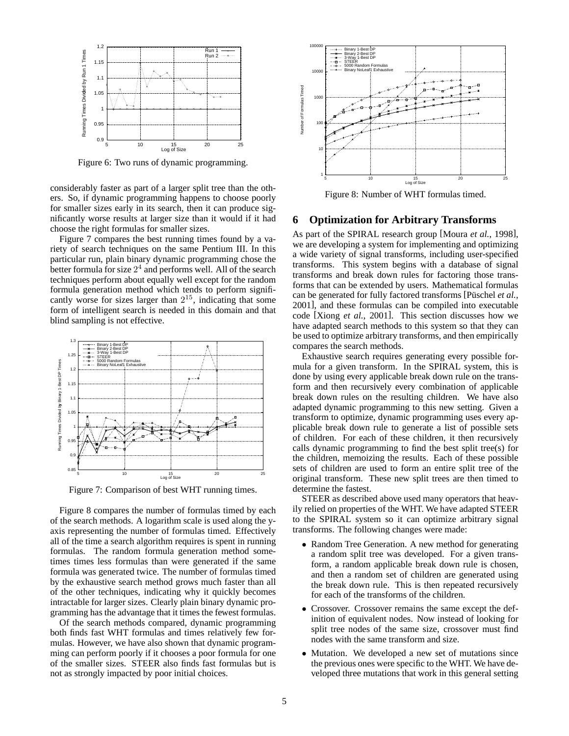

Figure 6: Two runs of dynamic programming.

considerably faster as part of a larger split tree than the others. So, if dynamic programming happens to choose poorly for smaller sizes early in its search, then it can produce significantly worse results at larger size than it would if it had choose the right formulas for smaller sizes.

Figure 7 compares the best running times found by a variety of search techniques on the same Pentium III. In this particular run, plain binary dynamic programming chose the better formula for size  $2<sup>4</sup>$  and performs well. All of the search techniques perform about equally well except for the random formula generation method which tends to perform significantly worse for sizes larger than  $2^{15}$ , indicating that some form of intelligent search is needed in this domain and that blind sampling is not effective.



Figure 7: Comparison of best WHT running times.

Figure 8 compares the number of formulas timed by each of the search methods. A logarithm scale is used along the yaxis representing the number of formulas timed. Effectively all of the time a search algorithm requires is spent in running formulas. The random formula generation method sometimes times less formulas than were generated if the same formula was generated twice. The number of formulas timed by the exhaustive search method grows much faster than all of the other techniques, indicating why it quickly becomes intractable for larger sizes. Clearly plain binary dynamic programming has the advantage that it times the fewest formulas.

Of the search methods compared, dynamic programming both finds fast WHT formulas and times relatively few formulas. However, we have also shown that dynamic programming can perform poorly if it chooses a poor formula for one of the smaller sizes. STEER also finds fast formulas but is not as strongly impacted by poor initial choices.



Figure 8: Number of WHT formulas timed.

### **6 Optimization for Arbitrary Transforms**

As part of the SPIRAL research group [Moura *et al.*, 1998], we are developing a system for implementing and optimizing a wide variety of signal transforms, including user-specified transforms. This system begins with a database of signal transforms and break down rules for factoring those transforms that can be extended by users. Mathematical formulas can be generated for fully factored transforms [Püschel et al., 2001], and these formulas can be compiled into executable code [Xiong *et al.*, 2001]. This section discusses how we have adapted search methods to this system so that they can be used to optimize arbitrary transforms, and then empirically compares the search methods.

Exhaustive search requires generating every possible formula for a given transform. In the SPIRAL system, this is done by using every applicable break down rule on the transform and then recursively every combination of applicable break down rules on the resulting children. We have also adapted dynamic programming to this new setting. Given a transform to optimize, dynamic programming uses every applicable break down rule to generate a list of possible sets of children. For each of these children, it then recursively calls dynamic programming to find the best split tree(s) for the children, memoizing the results. Each of these possible sets of children are used to form an entire split tree of the original transform. These new split trees are then timed to determine the fastest.

STEER as described above used many operators that heavily relied on properties of the WHT. We have adapted STEER to the SPIRAL system so it can optimize arbitrary signal transforms. The following changes were made:

- Random Tree Generation. A new method for generating a random split tree was developed. For a given transform, a random applicable break down rule is chosen, and then a random set of children are generated using the break down rule. This is then repeated recursively for each of the transforms of the children.
- Crossover. Crossover remains the same except the definition of equivalent nodes. Now instead of looking for split tree nodes of the same size, crossover must find nodes with the same transform and size.
- Mutation. We developed a new set of mutations since the previous ones were specific to the WHT. We have developed three mutations that work in this general setting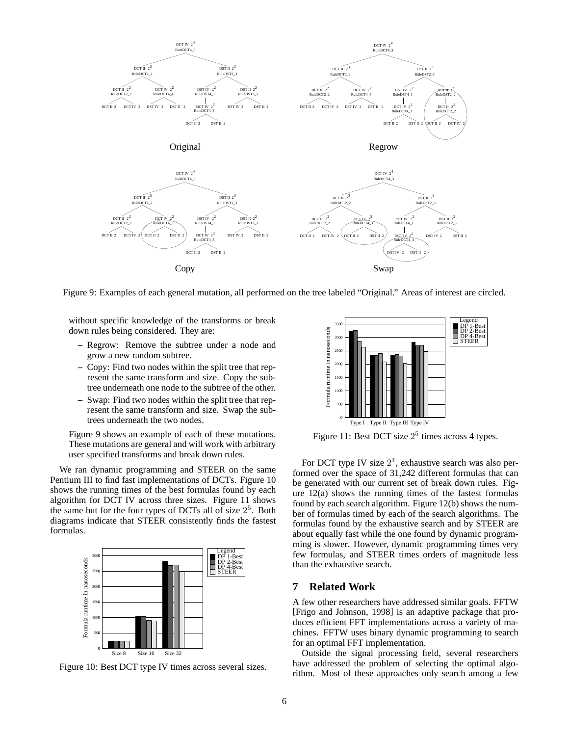

Figure 9: Examples of each general mutation, all performed on the tree labeled "Original." Areas of interest are circled.

without specific knowledge of the transforms or break down rules being considered. They are:

- **–** Regrow: Remove the subtree under a node and grow a new random subtree.
- **–** Copy: Find two nodes within the split tree that represent the same transform and size. Copy the subtree underneath one node to the subtree of the other.
- **–** Swap: Find two nodes within the split tree that represent the same transform and size. Swap the subtrees underneath the two nodes.

Figure 9 shows an example of each of these mutations. These mutations are general and will work with arbitrary user specified transforms and break down rules.

We ran dynamic programming and STEER on the same Pentium III to find fast implementations of DCTs. Figure 10 shows the running times of the best formulas found by each algorithm for DCT IV across three sizes. Figure 11 shows the same but for the four types of DCTs all of size  $2<sup>5</sup>$ . Both diagrams indicate that STEER consistently finds the fastest formulas.



Figure 10: Best DCT type IV times across several sizes.



Figure 11: Best DCT size  $2^5$  times across 4 types.

For DCT type IV size  $2<sup>4</sup>$ , exhaustive search was also performed over the space of 31,242 different formulas that can be generated with our current set of break down rules. Figure 12(a) shows the running times of the fastest formulas found by each search algorithm. Figure 12(b) shows the number of formulas timed by each of the search algorithms. The formulas found by the exhaustive search and by STEER are about equally fast while the one found by dynamic programming is slower. However, dynamic programming times very few formulas, and STEER times orders of magnitude less than the exhaustive search.

#### **7 Related Work**

A few other researchers have addressed similar goals. FFTW [Frigo and Johnson, 1998] is an adaptive package that produces efficient FFT implementations across a variety of machines. FFTW uses binary dynamic programming to search for an optimal FFT implementation.

Outside the signal processing field, several researchers have addressed the problem of selecting the optimal algorithm. Most of these approaches only search among a few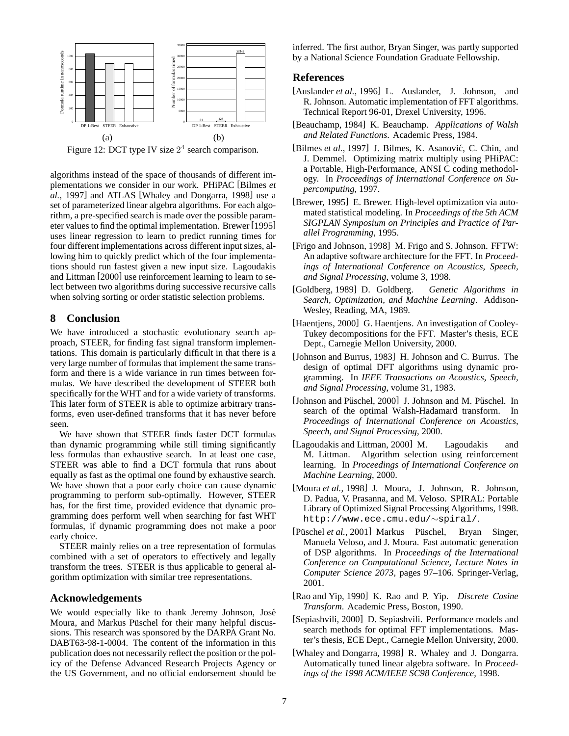

algorithms instead of the space of thousands of different implementations we consider in our work. PHiPAC [Bilmes *et al.*, 1997] and ATLAS [Whaley and Dongarra, 1998] use a set of parameterized linear algebra algorithms. For each algorithm, a pre-specified search is made over the possible parameter values to find the optimal implementation. Brewer [1995] uses linear regression to learn to predict running times for four different implementations across different input sizes, allowing him to quickly predict which of the four implementations should run fastest given a new input size. Lagoudakis and Littman [2000] use reinforcement learning to learn to select between two algorithms during successive recursive calls when solving sorting or order statistic selection problems.

### **8 Conclusion**

We have introduced a stochastic evolutionary search approach, STEER, for finding fast signal transform implementations. This domain is particularly difficult in that there is a very large number of formulas that implement the same transform and there is a wide variance in run times between formulas. We have described the development of STEER both specifically for the WHT and for a wide variety of transforms. This later form of STEER is able to optimize arbitrary transforms, even user-defined transforms that it has never before seen.

We have shown that STEER finds faster DCT formulas than dynamic programming while still timing significantly less formulas than exhaustive search. In at least one case, STEER was able to find a DCT formula that runs about equally as fast as the optimal one found by exhaustive search. We have shown that a poor early choice can cause dynamic programming to perform sub-optimally. However, STEER has, for the first time, provided evidence that dynamic programming does perform well when searching for fast WHT formulas, if dynamic programming does not make a poor early choice.

STEER mainly relies on a tree representation of formulas combined with a set of operators to effectively and legally transform the trees. STEER is thus applicable to general algorithm optimization with similar tree representations.

#### **Acknowledgements**

We would especially like to thank Jeremy Johnson, José Moura, and Markus Püschel for their many helpful discussions. This research was sponsored by the DARPA Grant No. DABT63-98-1-0004. The content of the information in this publication does not necessarily reflect the position or the policy of the Defense Advanced Research Projects Agency or the US Government, and no official endorsement should be inferred. The first author, Bryan Singer, was partly supported by a National Science Foundation Graduate Fellowship.

#### **References**

- [Auslander *et al.*, 1996] L. Auslander, J. Johnson, and R. Johnson. Automatic implementation of FFT algorithms. Technical Report 96-01, Drexel University, 1996.
- [Beauchamp, 1984] K. Beauchamp. *Applications of Walsh and Related Functions*. Academic Press, 1984.
- [Bilmes *et al.*, 1997] J. Bilmes, K. Asanović, C. Chin, and J. Demmel. Optimizing matrix multiply using PHiPAC: a Portable, High-Performance, ANSI C coding methodology. In *Proceedings of International Conference on Supercomputing*, 1997.
- [Brewer, 1995] E. Brewer. High-level optimization via automated statistical modeling. In *Proceedings of the 5th ACM SIGPLAN Symposium on Principles and Practice of Parallel Programming*, 1995.
- [Frigo and Johnson, 1998] M. Frigo and S. Johnson. FFTW: An adaptive software architecture for the FFT. In *Proceedings of International Conference on Acoustics, Speech, and Signal Processing*, volume 3, 1998.
- [Goldberg, 1989] D. Goldberg. *Genetic Algorithms in Search, Optimization, and Machine Learning*. Addison-Wesley, Reading, MA, 1989.
- [Haentjens, 2000] G. Haentjens. An investigation of Cooley-Tukey decompositions for the FFT. Master's thesis, ECE Dept., Carnegie Mellon University, 2000.
- [Johnson and Burrus, 1983] H. Johnson and C. Burrus. The design of optimal DFT algorithms using dynamic programming. In *IEEE Transactions on Acoustics, Speech, and Signal Processing*, volume 31, 1983.
- [Johnson and Püschel, 2000] J. Johnson and M. Püschel. In search of the optimal Walsh-Hadamard transform. In *Proceedings of International Conference on Acoustics, Speech, and Signal Processing*, 2000.
- [Lagoudakis and Littman, 2000] M. Lagoudakis and M. Littman. Algorithm selection using reinforcement learning. In *Proceedings of International Conference on Machine Learning*, 2000.
- [Moura *et al.*, 1998] J. Moura, J. Johnson, R. Johnson, D. Padua, V. Prasanna, and M. Veloso. SPIRAL: Portable Library of Optimized Signal Processing Algorithms, 1998. http://www.ece.cmu.edu/∼spiral/.
- [Püschel *et al.*, 2001] Markus Püschel, Bryan Singer, Manuela Veloso, and J. Moura. Fast automatic generation of DSP algorithms. In *Proceedings of the International Conference on Computational Science, Lecture Notes in Computer Science 2073*, pages 97–106. Springer-Verlag, 2001.
- [Rao and Yip, 1990] K. Rao and P. Yip. *Discrete Cosine Transform*. Academic Press, Boston, 1990.
- [Sepiashvili, 2000] D. Sepiashvili. Performance models and search methods for optimal FFT implementations. Master's thesis, ECE Dept., Carnegie Mellon University, 2000.
- [Whaley and Dongarra, 1998] R. Whaley and J. Dongarra. Automatically tuned linear algebra software. In *Proceedings of the 1998 ACM/IEEE SC98 Conference*, 1998.